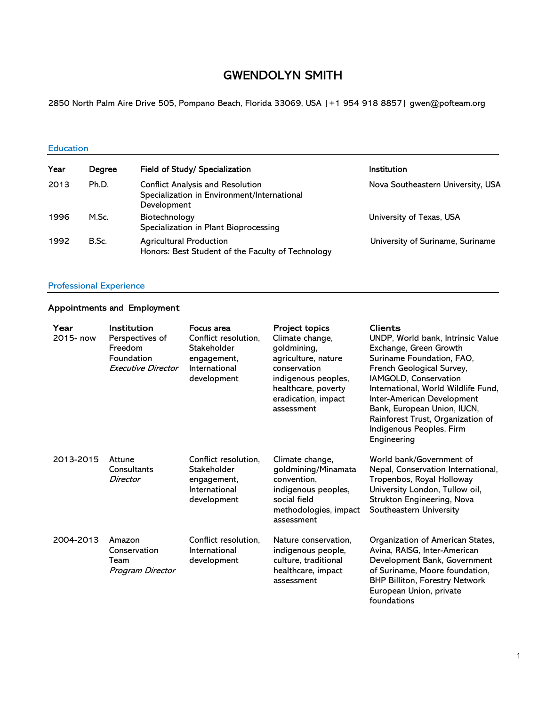# GWENDOLYN SMITH

2850 North Palm Aire Drive 505, Pompano Beach, Florida 33069, USA |+1 954 918 8857| gwen@pofteam.org

#### Education

| Year | Degree | Field of Study/ Specialization                                                                        | Institution                       |
|------|--------|-------------------------------------------------------------------------------------------------------|-----------------------------------|
| 2013 | Ph.D.  | <b>Conflict Analysis and Resolution</b><br>Specialization in Environment/International<br>Development | Nova Southeastern University, USA |
| 1996 | M.Sc.  | Biotechnology<br>Specialization in Plant Bioprocessing                                                | University of Texas, USA          |
| 1992 | B.Sc.  | <b>Agricultural Production</b><br>Honors: Best Student of the Faculty of Technology                   | University of Suriname, Suriname  |

#### Professional Experience

## Appointments and Employment

| Year<br>2015- now | Institution<br>Perspectives of<br>Freedom<br>Foundation<br>Executive Director | Focus area<br>Conflict resolution,<br>Stakeholder<br>engagement,<br>International<br>development | <b>Project topics</b><br>Climate change,<br>goldmining,<br>agriculture, nature<br>conservation<br>indigenous peoples,<br>healthcare, poverty<br>eradication, impact<br>assessment | <b>Clients</b><br>UNDP, World bank, Intrinsic Value<br>Exchange, Green Growth<br>Suriname Foundation, FAO,<br>French Geological Survey,<br>IAMGOLD, Conservation<br>International, World Wildlife Fund,<br>Inter-American Development<br>Bank, European Union, IUCN,<br>Rainforest Trust, Organization of<br>Indigenous Peoples, Firm<br>Engineering |
|-------------------|-------------------------------------------------------------------------------|--------------------------------------------------------------------------------------------------|-----------------------------------------------------------------------------------------------------------------------------------------------------------------------------------|------------------------------------------------------------------------------------------------------------------------------------------------------------------------------------------------------------------------------------------------------------------------------------------------------------------------------------------------------|
| 2013-2015         | Attune<br>Consultants<br>Director                                             | Conflict resolution,<br>Stakeholder<br>engagement,<br>International<br>development               | Climate change,<br>goldmining/Minamata<br>convention.<br>indigenous peoples,<br>social field<br>methodologies, impact<br>assessment                                               | World bank/Government of<br>Nepal, Conservation International,<br>Tropenbos, Royal Holloway<br>University London, Tullow oil,<br>Strukton Engineering, Nova<br>Southeastern University                                                                                                                                                               |
| 2004-2013         | Amazon<br>Conservation<br>Team<br>Program Director                            | Conflict resolution,<br>International<br>development                                             | Nature conservation,<br>indigenous people,<br>culture, traditional<br>healthcare, impact<br>assessment                                                                            | Organization of American States,<br>Avina, RAISG, Inter-American<br>Development Bank, Government<br>of Suriname, Moore foundation,<br><b>BHP Billiton, Forestry Network</b><br>European Union, private<br>foundations                                                                                                                                |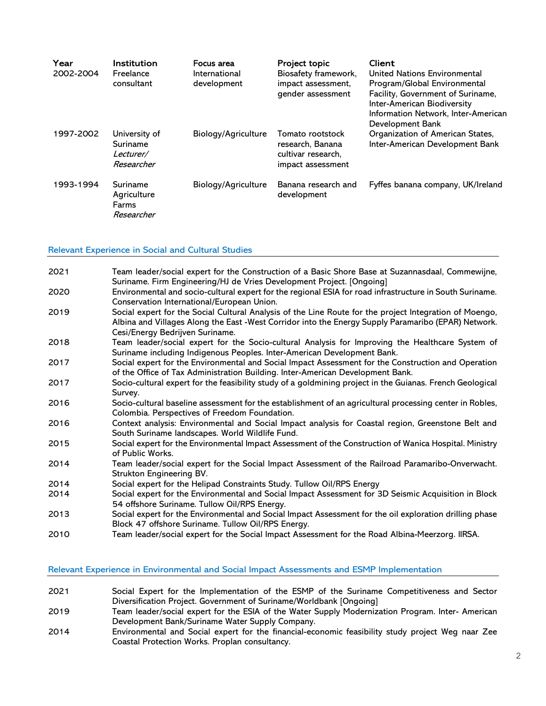| Year<br>2002-2004 | <b>Institution</b><br>Freelance<br>consultant        | Focus area<br>International<br>development | Project topic<br>Biosafety framework,<br>impact assessment,<br>gender assessment | Client<br>United Nations Environmental<br>Program/Global Environmental<br>Facility, Government of Suriname,<br>Inter-American Biodiversity<br>Information Network, Inter-American<br>Development Bank |
|-------------------|------------------------------------------------------|--------------------------------------------|----------------------------------------------------------------------------------|-------------------------------------------------------------------------------------------------------------------------------------------------------------------------------------------------------|
| 1997-2002         | University of<br>Suriname<br>Lecturer/<br>Researcher | Biology/Agriculture                        | Tomato rootstock<br>research, Banana<br>cultivar research,<br>impact assessment  | Organization of American States,<br>Inter-American Development Bank                                                                                                                                   |
| 1993-1994         | Suriname<br>Agriculture<br>Farms<br>Researcher       | Biology/Agriculture                        | Banana research and<br>development                                               | Fyffes banana company, UK/Ireland                                                                                                                                                                     |

#### Relevant Experience in Social and Cultural Studies

| 2021 | Team leader/social expert for the Construction of a Basic Shore Base at Suzannasdaal, Commewijne,<br>Suriname. Firm Engineering/HJ de Vries Development Project. [Ongoing]                                                                        |
|------|---------------------------------------------------------------------------------------------------------------------------------------------------------------------------------------------------------------------------------------------------|
| 2020 | Environmental and socio-cultural expert for the regional ESIA for road infrastructure in South Suriname.<br>Conservation International/European Union.                                                                                            |
| 2019 | Social expert for the Social Cultural Analysis of the Line Route for the project Integration of Moengo,<br>Albina and Villages Along the East -West Corridor into the Energy Supply Paramaribo (EPAR) Network.<br>Cesi/Energy Bedrijven Suriname. |
| 2018 | Team leader/social expert for the Socio-cultural Analysis for Improving the Healthcare System of<br>Suriname including Indigenous Peoples. Inter-American Development Bank.                                                                       |
| 2017 | Social expert for the Environmental and Social Impact Assessment for the Construction and Operation<br>of the Office of Tax Administration Building. Inter-American Development Bank.                                                             |
| 2017 | Socio-cultural expert for the feasibility study of a goldmining project in the Guianas. French Geological<br>Survey.                                                                                                                              |
| 2016 | Socio-cultural baseline assessment for the establishment of an agricultural processing center in Robles,<br>Colombia. Perspectives of Freedom Foundation.                                                                                         |
| 2016 | Context analysis: Environmental and Social Impact analysis for Coastal region, Greenstone Belt and<br>South Suriname landscapes. World Wildlife Fund.                                                                                             |
| 2015 | Social expert for the Environmental Impact Assessment of the Construction of Wanica Hospital. Ministry<br>of Public Works.                                                                                                                        |
| 2014 | Team leader/social expert for the Social Impact Assessment of the Railroad Paramaribo-Onverwacht.<br>Strukton Engineering BV.                                                                                                                     |
| 2014 | Social expert for the Helipad Constraints Study. Tullow Oil/RPS Energy                                                                                                                                                                            |
| 2014 | Social expert for the Environmental and Social Impact Assessment for 3D Seismic Acquisition in Block<br>54 offshore Suriname. Tullow Oil/RPS Energy.                                                                                              |
| 2013 | Social expert for the Environmental and Social Impact Assessment for the oil exploration drilling phase<br>Block 47 offshore Suriname. Tullow Oil/RPS Energy.                                                                                     |
| 2010 | Team leader/social expert for the Social Impact Assessment for the Road Albina-Meerzorg. IIRSA.                                                                                                                                                   |

#### Relevant Experience in Environmental and Social Impact Assessments and ESMP Implementation

- 2021 Social Expert for the Implementation of the ESMP of the Suriname Competitiveness and Sector Diversification Project. Government of Suriname/Worldbank [Ongoing]
- 2019 Team leader/social expert for the ESIA of the Water Supply Modernization Program. Inter- American Development Bank/Suriname Water Supply Company.
- 2014 Environmental and Social expert for the financial-economic feasibility study project Weg naar Zee Coastal Protection Works. Proplan consultancy.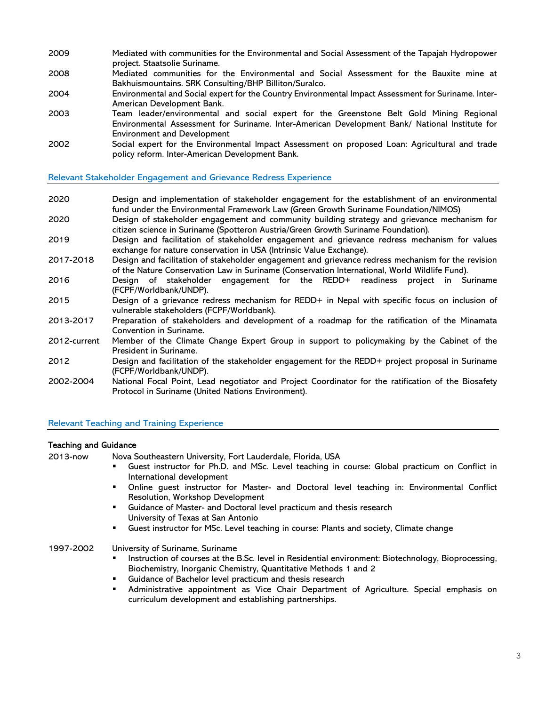- 2009 Mediated with communities for the Environmental and Social Assessment of the Tapajah Hydropower project. Staatsolie Suriname.
- 2008 Mediated communities for the Environmental and Social Assessment for the Bauxite mine at Bakhuismountains. SRK Consulting/BHP Billiton/Suralco.
- 2004 Environmental and Social expert for the Country Environmental Impact Assessment for Suriname. Inter-American Development Bank.
- 2003 Team leader/environmental and social expert for the Greenstone Belt Gold Mining Regional Environmental Assessment for Suriname. Inter-American Development Bank/ National Institute for Environment and Development
- 2002 Social expert for the Environmental Impact Assessment on proposed Loan: Agricultural and trade policy reform. Inter-American Development Bank.

Relevant Stakeholder Engagement and Grievance Redress Experience

- 2020 Design and implementation of stakeholder engagement for the establishment of an environmental fund under the Environmental Framework Law (Green Growth Suriname Foundation/NIMOS)
- 2020 Design of stakeholder engagement and community building strategy and grievance mechanism for citizen science in Suriname (Spotteron Austria/Green Growth Suriname Foundation).
- 2019 Design and facilitation of stakeholder engagement and grievance redress mechanism for values exchange for nature conservation in USA (Intrinsic Value Exchange).
- 2017-2018 Design and facilitation of stakeholder engagement and grievance redress mechanism for the revision of the Nature Conservation Law in Suriname (Conservation International, World Wildlife Fund).
- 2016 Design of stakeholder engagement for the REDD+ readiness project in Suriname (FCPF/Worldbank/UNDP).
- 2015 Design of a grievance redress mechanism for REDD+ in Nepal with specific focus on inclusion of vulnerable stakeholders (FCPF/Worldbank).
- 2013-2017 Preparation of stakeholders and development of a roadmap for the ratification of the Minamata Convention in Suriname.
- 2012-current Member of the Climate Change Expert Group in support to policymaking by the Cabinet of the President in Suriname.
- 2012 Design and facilitation of the stakeholder engagement for the REDD+ project proposal in Suriname (FCPF/Worldbank/UNDP).
- 2002-2004 National Focal Point, Lead negotiator and Project Coordinator for the ratification of the Biosafety Protocol in Suriname (United Nations Environment).

Relevant Teaching and Training Experience

#### Teaching and Guidance

2013-now Nova Southeastern University, Fort Lauderdale, Florida, USA

- Guest instructor for Ph.D. and MSc. Level teaching in course: Global practicum on Conflict in International development
- Online guest instructor for Master- and Doctoral level teaching in: Environmental Conflict Resolution, Workshop Development
- **EXEDER** Guidance of Master- and Doctoral level practicum and thesis research University of Texas at San Antonio
- Guest instructor for MSc. Level teaching in course: Plants and society, Climate change
- 1997-2002 University of Suriname, Suriname
	- Instruction of courses at the B.Sc. level in Residential environment: Biotechnology, Bioprocessing, Biochemistry, Inorganic Chemistry, Quantitative Methods 1 and 2
	- Guidance of Bachelor level practicum and thesis research
	- Administrative appointment as Vice Chair Department of Agriculture. Special emphasis on curriculum development and establishing partnerships.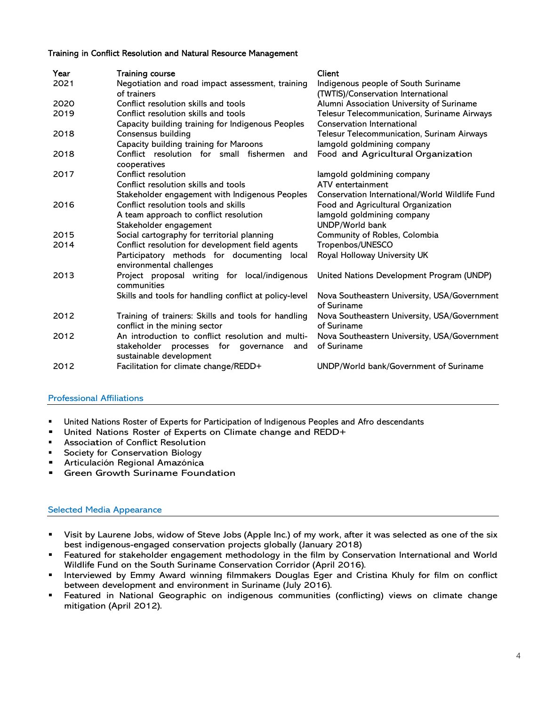#### Training in Conflict Resolution and Natural Resource Management

| Year | <b>Training course</b>                                                                                                   | <b>Client</b>                                                             |
|------|--------------------------------------------------------------------------------------------------------------------------|---------------------------------------------------------------------------|
| 2021 | Negotiation and road impact assessment, training<br>of trainers                                                          | Indigenous people of South Suriname<br>(TWTIS)/Conservation International |
| 2020 | Conflict resolution skills and tools                                                                                     | Alumni Association University of Suriname                                 |
| 2019 | Conflict resolution skills and tools                                                                                     | Telesur Telecommunication, Suriname Airways                               |
|      | Capacity building training for Indigenous Peoples                                                                        | Conservation International                                                |
| 2018 | Consensus building                                                                                                       | Telesur Telecommunication, Surinam Airways                                |
|      | Capacity building training for Maroons                                                                                   | lamgold goldmining company                                                |
| 2018 | Conflict resolution for small fishermen<br>and<br>cooperatives                                                           | Food and Agricultural Organization                                        |
| 2017 | Conflict resolution                                                                                                      | lamgold goldmining company                                                |
|      | Conflict resolution skills and tools                                                                                     | ATV entertainment                                                         |
|      | Stakeholder engagement with Indigenous Peoples                                                                           | Conservation International/World Wildlife Fund                            |
| 2016 | Conflict resolution tools and skills                                                                                     | Food and Agricultural Organization                                        |
|      | A team approach to conflict resolution                                                                                   | lamgold goldmining company                                                |
|      | Stakeholder engagement                                                                                                   | UNDP/World bank                                                           |
| 2015 | Social cartography for territorial planning                                                                              | Community of Robles, Colombia                                             |
| 2014 | Conflict resolution for development field agents                                                                         | Tropenbos/UNESCO                                                          |
|      | Participatory methods for documenting local<br>environmental challenges                                                  | Royal Holloway University UK                                              |
| 2013 | Project proposal writing for local/indigenous<br>communities                                                             | United Nations Development Program (UNDP)                                 |
|      | Skills and tools for handling conflict at policy-level                                                                   | Nova Southeastern University, USA/Government<br>of Suriname               |
| 2012 | Training of trainers: Skills and tools for handling<br>conflict in the mining sector                                     | Nova Southeastern University, USA/Government<br>of Suriname               |
| 2012 | An introduction to conflict resolution and multi-<br>stakeholder processes for governance and<br>sustainable development | Nova Southeastern University, USA/Government<br>of Suriname               |
| 2012 | Facilitation for climate change/REDD+                                                                                    | UNDP/World bank/Government of Suriname                                    |
|      |                                                                                                                          |                                                                           |

### Professional Affiliations

- United Nations Roster of Experts for Participation of Indigenous Peoples and Afro descendants United Nations Roster of Experts on Climate change and REDD+
- 
- Association of Conflict Resolution
- Society for Conservation Biology<br>Articulación Regional Amazónica
- 
- Green Growth Suriname Foundation

#### Selected Media Appearance

- Visit by Laurene Jobs, widow of Steve Jobs (Apple Inc.) of my work, after it was selected as one of the six best indigenous-engaged conservation projects globally (January 2018)
- Featured for stakeholder engagement methodology in the film by Conservation International and World Wildlife Fund on the South Suriname Conservation Corridor (April 2016).
- Interviewed by Emmy Award winning filmmakers Douglas Eger and Cristina Khuly for film on conflict between development and environment in Suriname (July 2016).
- Featured in National Geographic on indigenous communities (conflicting) views on climate change mitigation (April 2012).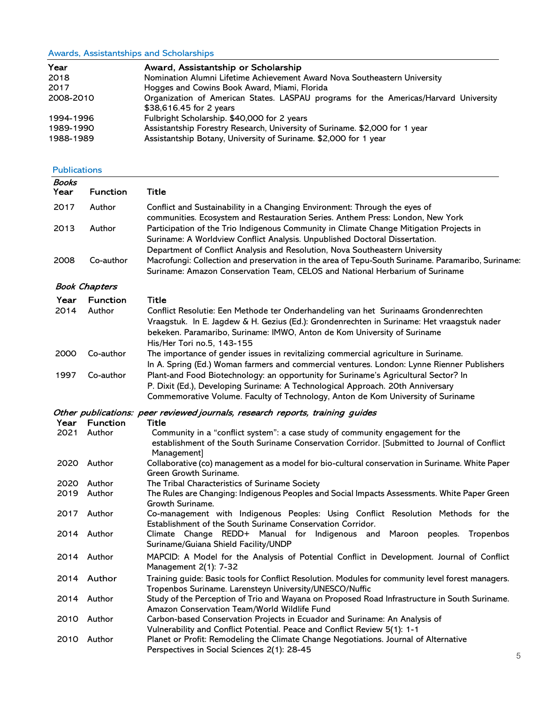### Awards, Assistantships and Scholarships

| Year                | Award, Assistantship or Scholarship                                                                             |
|---------------------|-----------------------------------------------------------------------------------------------------------------|
| 2018                | Nomination Alumni Lifetime Achievement Award Nova Southeastern University                                       |
| 2017                | Hogges and Cowins Book Award, Miami, Florida                                                                    |
| 2008-2010           | Organization of American States. LASPAU programs for the Americas/Harvard University<br>\$38,616.45 for 2 years |
| 1994-1996           | Fulbright Scholarship. \$40,000 for 2 years                                                                     |
| 1989-1990           | Assistantship Forestry Research, University of Suriname. \$2,000 for 1 year                                     |
| 1988-1989           | Assistantship Botany, University of Suriname. \$2,000 for 1 year                                                |
| <b>Publications</b> |                                                                                                                 |

| Books<br>Year | <b>Function</b>      | <b>Title</b>                                                                                                                                                                                                                                                                                |
|---------------|----------------------|---------------------------------------------------------------------------------------------------------------------------------------------------------------------------------------------------------------------------------------------------------------------------------------------|
| 2017          | Author               | Conflict and Sustainability in a Changing Environment: Through the eyes of                                                                                                                                                                                                                  |
|               |                      | communities. Ecosystem and Restauration Series. Anthem Press: London, New York                                                                                                                                                                                                              |
| 2013          | Author               | Participation of the Trio Indigenous Community in Climate Change Mitigation Projects in<br>Suriname: A Worldview Conflict Analysis. Unpublished Doctoral Dissertation.                                                                                                                      |
| 2008          | Co-author            | Department of Conflict Analysis and Resolution, Nova Southeastern University<br>Macrofungi: Collection and preservation in the area of Tepu-South Suriname. Paramaribo, Suriname:<br>Suriname: Amazon Conservation Team, CELOS and National Herbarium of Suriname                           |
|               | <b>Book Chapters</b> |                                                                                                                                                                                                                                                                                             |
| Year          | <b>Function</b>      | Title                                                                                                                                                                                                                                                                                       |
| 2014          | Author               | Conflict Resolutie: Een Methode ter Onderhandeling van het Surinaams Grondenrechten<br>Vraagstuk. In E. Jagdew & H. Gezius (Ed.): Grondenrechten in Suriname: Het vraagstuk nader<br>bekeken. Paramaribo, Suriname: IMWO, Anton de Kom University of Suriname<br>His/Her Tori no.5, 143-155 |
| 2000          | Co-author            | The importance of gender issues in revitalizing commercial agriculture in Suriname.<br>In A. Spring (Ed.) Woman farmers and commercial ventures. London: Lynne Rienner Publishers                                                                                                           |
| 1997          | Co-author            | Plant-and Food Biotechnology: an opportunity for Suriname's Agricultural Sector? In<br>P. Dixit (Ed.), Developing Suriname: A Technological Approach. 20th Anniversary<br>Commemorative Volume. Faculty of Technology, Anton de Kom University of Suriname                                  |
|               |                      | Other publications: peer reviewed journals, research reports, training guides                                                                                                                                                                                                               |
| Year          | <b>Function</b>      | Title                                                                                                                                                                                                                                                                                       |
| 2021          | Author               | Community in a "conflict system": a case study of community engagement for the<br>establishment of the South Suriname Conservation Corridor. [Submitted to Journal of Conflict<br>Management]                                                                                               |
| 2020          | Author               | Collaborative (co) management as a model for bio-cultural conservation in Suriname. White Paper<br>Green Growth Suriname.                                                                                                                                                                   |
| 2020          | Author               | The Tribal Characteristics of Suriname Society                                                                                                                                                                                                                                              |
| 2019          | Author               | The Rules are Changing: Indigenous Peoples and Social Impacts Assessments. White Paper Green<br>Growth Suriname.                                                                                                                                                                            |
| 2017          | Author               | Co-management with Indigenous Peoples: Using Conflict Resolution Methods for the<br>Establishment of the South Suriname Conservation Corridor.                                                                                                                                              |
|               | 2014 Author          | Climate Change REDD+ Manual for Indigenous and<br>Maroon peoples. Tropenbos<br>Suriname/Guiana Shield Facility/UNDP                                                                                                                                                                         |
|               | 2014 Author          | MAPCID: A Model for the Analysis of Potential Conflict in Development. Journal of Conflict<br>Management 2(1): 7-32                                                                                                                                                                         |
|               | 2014 Author          | Training guide: Basic tools for Conflict Resolution. Modules for community level forest managers.<br>Tropenbos Suriname. Larensteyn University/UNESCO/Nuffic                                                                                                                                |
|               | 2014 Author          | Study of the Perception of Trio and Wayana on Proposed Road Infrastructure in South Suriname.<br>Amazon Conservation Team/World Wildlife Fund                                                                                                                                               |
|               | 2010 Author          | Carbon-based Conservation Projects in Ecuador and Suriname: An Analysis of<br>Vulnerability and Conflict Potential. Peace and Conflict Review 5(1): 1-1                                                                                                                                     |
| 2010          | Author               | Planet or Profit: Remodeling the Climate Change Negotiations. Journal of Alternative<br>Perspectives in Social Sciences 2(1): 28-45                                                                                                                                                         |